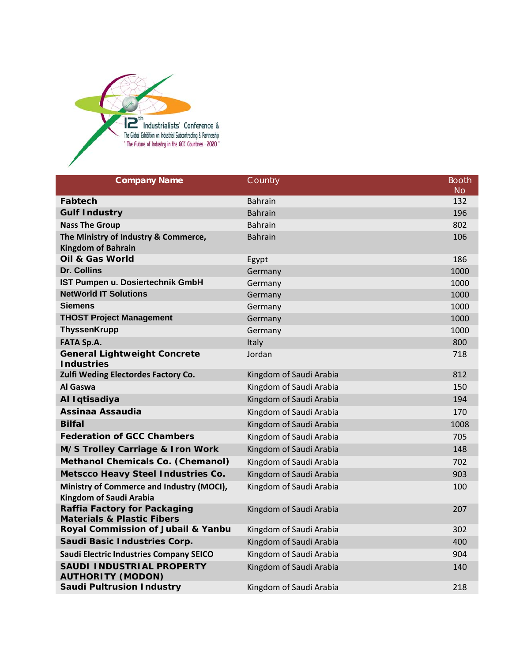

| <b>Company Name</b>                                                          | Country                 | <b>Booth</b> |
|------------------------------------------------------------------------------|-------------------------|--------------|
|                                                                              |                         | <b>No</b>    |
| Fabtech                                                                      | <b>Bahrain</b>          | 132          |
| <b>Gulf Industry</b>                                                         | <b>Bahrain</b>          | 196          |
| <b>Nass The Group</b>                                                        | <b>Bahrain</b>          | 802          |
| The Ministry of Industry & Commerce,                                         | <b>Bahrain</b>          | 106          |
| <b>Kingdom of Bahrain</b>                                                    |                         |              |
| <b>Oil &amp; Gas World</b>                                                   | Egypt                   | 186          |
| Dr. Collins                                                                  | Germany                 | 1000         |
| IST Pumpen u. Dosiertechnik GmbH                                             | Germany                 | 1000         |
| <b>NetWorld IT Solutions</b>                                                 | Germany                 | 1000         |
| <b>Siemens</b>                                                               | Germany                 | 1000         |
| <b>THOST Project Management</b>                                              | Germany                 | 1000         |
| <b>ThyssenKrupp</b>                                                          | Germany                 | 1000         |
| <b>FATA Sp.A.</b>                                                            | Italy                   | 800          |
| <b>General Lightweight Concrete</b><br><b>Industries</b>                     | Jordan                  | 718          |
| Zulfi Weding Electordes Factory Co.                                          | Kingdom of Saudi Arabia | 812          |
| Al Gaswa                                                                     | Kingdom of Saudi Arabia | 150          |
| Al Iqtisadiya                                                                | Kingdom of Saudi Arabia | 194          |
| Assinaa Assaudia                                                             | Kingdom of Saudi Arabia | 170          |
| <b>Bilfal</b>                                                                | Kingdom of Saudi Arabia | 1008         |
| <b>Federation of GCC Chambers</b>                                            | Kingdom of Saudi Arabia | 705          |
| M/S Trolley Carriage & Iron Work                                             | Kingdom of Saudi Arabia | 148          |
| Methanol Chemicals Co. (Chemanol)                                            | Kingdom of Saudi Arabia | 702          |
| <b>Metscco Heavy Steel Industries Co.</b>                                    | Kingdom of Saudi Arabia | 903          |
| Ministry of Commerce and Industry (MOCI),                                    | Kingdom of Saudi Arabia | 100          |
| <b>Kingdom of Saudi Arabia</b>                                               |                         |              |
| <b>Raffia Factory for Packaging</b><br><b>Materials &amp; Plastic Fibers</b> | Kingdom of Saudi Arabia | 207          |
| Royal Commission of Jubail & Yanbu                                           | Kingdom of Saudi Arabia | 302          |
| Saudi Basic Industries Corp.                                                 | Kingdom of Saudi Arabia | 400          |
| <b>Saudi Electric Industries Company SEICO</b>                               | Kingdom of Saudi Arabia | 904          |
| SAUDI INDUSTRIAL PROPERTY<br><b>AUTHORITY (MODON)</b>                        | Kingdom of Saudi Arabia | 140          |
| <b>Saudi Pultrusion Industry</b>                                             | Kingdom of Saudi Arabia | 218          |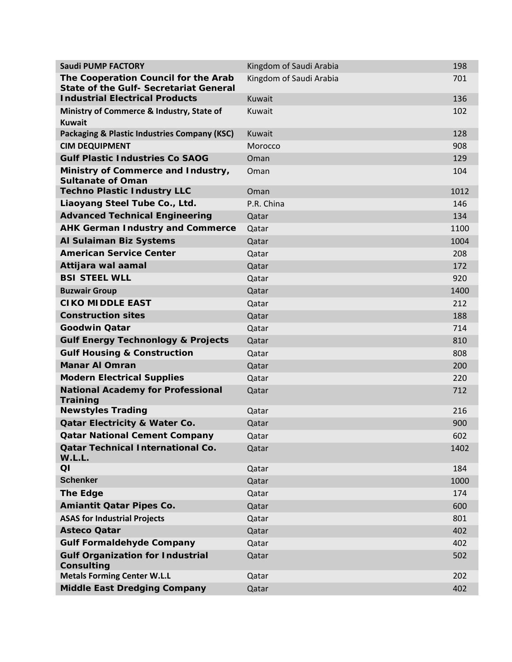| <b>Saudi PUMP FACTORY</b>                                                             | Kingdom of Saudi Arabia | 198  |
|---------------------------------------------------------------------------------------|-------------------------|------|
| The Cooperation Council for the Arab<br><b>State of the Gulf- Secretariat General</b> | Kingdom of Saudi Arabia | 701  |
| <b>Industrial Electrical Products</b>                                                 | Kuwait                  | 136  |
| Ministry of Commerce & Industry, State of<br><b>Kuwait</b>                            | Kuwait                  | 102  |
| <b>Packaging &amp; Plastic Industries Company (KSC)</b>                               | Kuwait                  | 128  |
| <b>CIM DEQUIPMENT</b>                                                                 | Morocco                 | 908  |
| <b>Gulf Plastic Industries Co SAOG</b>                                                | Oman                    | 129  |
| Ministry of Commerce and Industry,<br><b>Sultanate of Oman</b>                        | Oman                    | 104  |
| <b>Techno Plastic Industry LLC</b>                                                    | Oman                    | 1012 |
| Liaoyang Steel Tube Co., Ltd.                                                         | P.R. China              | 146  |
| <b>Advanced Technical Engineering</b>                                                 | Qatar                   | 134  |
| <b>AHK German Industry and Commerce</b>                                               | Qatar                   | 1100 |
| Al Sulaiman Biz Systems                                                               | Qatar                   | 1004 |
| <b>American Service Center</b>                                                        | Qatar                   | 208  |
| Attijara wal aamal                                                                    | Qatar                   | 172  |
| <b>BSI STEEL WLL</b>                                                                  | Qatar                   | 920  |
| <b>Buzwair Group</b>                                                                  | Qatar                   | 1400 |
| <b>CIKO MIDDLE EAST</b>                                                               | Qatar                   | 212  |
| <b>Construction sites</b>                                                             | Qatar                   | 188  |
| <b>Goodwin Qatar</b>                                                                  | Qatar                   | 714  |
| <b>Gulf Energy Technonlogy &amp; Projects</b>                                         | Qatar                   | 810  |
| <b>Gulf Housing &amp; Construction</b>                                                | Qatar                   | 808  |
| <b>Manar AI Omran</b>                                                                 | Qatar                   | 200  |
| <b>Modern Electrical Supplies</b>                                                     | Qatar                   | 220  |
| <b>National Academy for Professional</b><br>Training                                  | Qatar                   | 712  |
| <b>Newstyles Trading</b>                                                              | Qatar                   | 216  |
| <b>Qatar Electricity &amp; Water Co.</b>                                              | Qatar                   | 900  |
| <b>Qatar National Cement Company</b>                                                  | Qatar                   | 602  |
| <b>Qatar Technical International Co.</b><br>W.L.L.                                    | Qatar                   | 1402 |
| QI                                                                                    | Qatar                   | 184  |
| <b>Schenker</b>                                                                       | Qatar                   | 1000 |
| <b>The Edge</b>                                                                       | Qatar                   | 174  |
| Amiantit Qatar Pipes Co.                                                              | Qatar                   | 600  |
| <b>ASAS for Industrial Projects</b>                                                   | Qatar                   | 801  |
| <b>Asteco Qatar</b>                                                                   | Qatar                   | 402  |
| <b>Gulf Formaldehyde Company</b>                                                      | Qatar                   | 402  |
| <b>Gulf Organization for Industrial</b><br>Consulting                                 | Qatar                   | 502  |
| <b>Metals Forming Center W.L.L</b>                                                    | Qatar                   | 202  |
| <b>Middle East Dredging Company</b>                                                   | Qatar                   | 402  |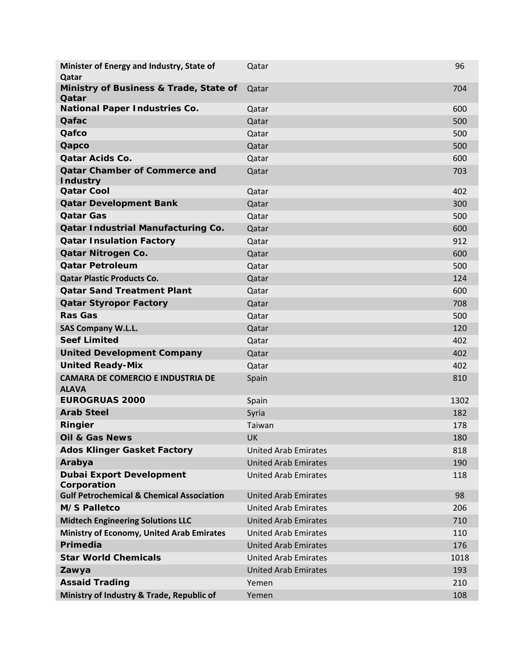| Minister of Energy and Industry, State of<br>Qatar       | Qatar                       | 96   |
|----------------------------------------------------------|-----------------------------|------|
| Ministry of Business & Trade, State of<br>Qatar          | Qatar                       | 704  |
| <b>National Paper Industries Co.</b>                     | Qatar                       | 600  |
| Qafac                                                    | Qatar                       | 500  |
| Qafco                                                    | Qatar                       | 500  |
| Qapco                                                    | Qatar                       | 500  |
| <b>Oatar Acids Co.</b>                                   | Qatar                       | 600  |
| <b>Qatar Chamber of Commerce and</b><br><b>Industry</b>  | Qatar                       | 703  |
| <b>Qatar Cool</b>                                        | Qatar                       | 402  |
| <b>Qatar Development Bank</b>                            | Qatar                       | 300  |
| <b>Qatar Gas</b>                                         | Qatar                       | 500  |
| <b>Qatar Industrial Manufacturing Co.</b>                | Qatar                       | 600  |
| <b>Qatar Insulation Factory</b>                          | Qatar                       | 912  |
| Qatar Nitrogen Co.                                       | Qatar                       | 600  |
| <b>Qatar Petroleum</b>                                   | Qatar                       | 500  |
| <b>Qatar Plastic Products Co.</b>                        | Qatar                       | 124  |
| <b>Qatar Sand Treatment Plant</b>                        | Qatar                       | 600  |
| <b>Qatar Styropor Factory</b>                            | Qatar                       | 708  |
| <b>Ras Gas</b>                                           | Qatar                       | 500  |
| <b>SAS Company W.L.L.</b>                                | Qatar                       | 120  |
| <b>Seef Limited</b>                                      | Qatar                       | 402  |
| <b>United Development Company</b>                        | Qatar                       | 402  |
| <b>United Ready-Mix</b>                                  | Qatar                       | 402  |
| <b>CAMARA DE COMERCIO E INDUSTRIA DE</b><br><b>ALAVA</b> | Spain                       | 810  |
| <b>EUROGRUAS 2000</b>                                    | Spain                       | 1302 |
| <b>Arab Steel</b>                                        | Syria                       | 182  |
| Ringier                                                  | Taiwan                      | 178  |
| <b>Oil &amp; Gas News</b>                                | <b>UK</b>                   | 180  |
| <b>Ados Klinger Gasket Factory</b>                       | <b>United Arab Emirates</b> | 818  |
| Arabya                                                   | <b>United Arab Emirates</b> | 190  |
| <b>Dubai Export Development</b><br>Corporation           | <b>United Arab Emirates</b> | 118  |
| <b>Gulf Petrochemical &amp; Chemical Association</b>     | <b>United Arab Emirates</b> | 98   |
| <b>M/S Palletco</b>                                      | <b>United Arab Emirates</b> | 206  |
| <b>Midtech Engineering Solutions LLC</b>                 | <b>United Arab Emirates</b> | 710  |
| <b>Ministry of Economy, United Arab Emirates</b>         | <b>United Arab Emirates</b> | 110  |
| Primedia                                                 | <b>United Arab Emirates</b> | 176  |
| <b>Star World Chemicals</b>                              | <b>United Arab Emirates</b> | 1018 |
| Zawya                                                    | <b>United Arab Emirates</b> | 193  |
| <b>Assaid Trading</b>                                    | Yemen                       | 210  |
| Ministry of Industry & Trade, Republic of                | Yemen                       | 108  |